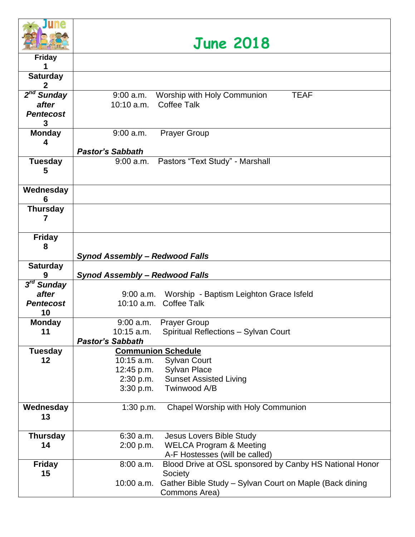

## **June 2018**

| <b>AND A PULLIPPE STAR</b> |                                                                        |
|----------------------------|------------------------------------------------------------------------|
| <b>Friday</b>              |                                                                        |
|                            |                                                                        |
| <b>Saturday</b>            |                                                                        |
| 2                          |                                                                        |
| $2nd$ Sunday               | <b>TEAF</b><br>Worship with Holy Communion<br>$9:00$ a.m.              |
| after                      | 10:10 a.m.<br><b>Coffee Talk</b>                                       |
| <b>Pentecost</b>           |                                                                        |
| 3                          |                                                                        |
| <b>Monday</b>              | <b>Prayer Group</b><br>$9:00$ a.m.                                     |
| 4                          |                                                                        |
|                            | <b>Pastor's Sabbath</b>                                                |
| <b>Tuesday</b><br>5        | Pastors "Text Study" - Marshall<br>9:00 a.m.                           |
|                            |                                                                        |
| Wednesday                  |                                                                        |
| 6                          |                                                                        |
| <b>Thursday</b>            |                                                                        |
| 7                          |                                                                        |
|                            |                                                                        |
| <b>Friday</b>              |                                                                        |
| 8                          |                                                                        |
|                            | Synod Assembly - Redwood Falls                                         |
| <b>Saturday</b>            |                                                                        |
| 9                          | Synod Assembly - Redwood Falls                                         |
| 3 <sup>rd</sup> Sunday     |                                                                        |
| after                      | 9:00 a.m. Worship - Baptism Leighton Grace Isfeld                      |
| <b>Pentecost</b>           | 10:10 a.m. Coffee Talk                                                 |
| 10                         |                                                                        |
| <b>Monday</b>              | 9:00 a.m. Prayer Group                                                 |
| 11                         | 10:15 a.m.<br>Spiritual Reflections - Sylvan Court                     |
|                            | <b>Pastor's Sabbath</b>                                                |
| <b>Tuesday</b>             | <b>Communion Schedule</b>                                              |
| $12 \,$                    | <b>Sylvan Court</b><br>10:15 a.m.                                      |
|                            | <b>Sylvan Place</b><br>12:45 p.m.                                      |
|                            | 2:30 p.m.<br><b>Sunset Assisted Living</b>                             |
|                            | Twinwood A/B<br>3:30 p.m.                                              |
|                            |                                                                        |
| Wednesday<br>13            | Chapel Worship with Holy Communion<br>1:30 p.m.                        |
|                            |                                                                        |
| <b>Thursday</b>            | Jesus Lovers Bible Study<br>$6:30$ a.m.                                |
| 14                         | <b>WELCA Program &amp; Meeting</b><br>2:00 p.m.                        |
|                            | A-F Hostesses (will be called)                                         |
| <b>Friday</b>              | Blood Drive at OSL sponsored by Canby HS National Honor<br>$8:00$ a.m. |
| 15                         | Society                                                                |
|                            | Gather Bible Study - Sylvan Court on Maple (Back dining<br>10:00 a.m.  |
|                            | Commons Area)                                                          |
|                            |                                                                        |